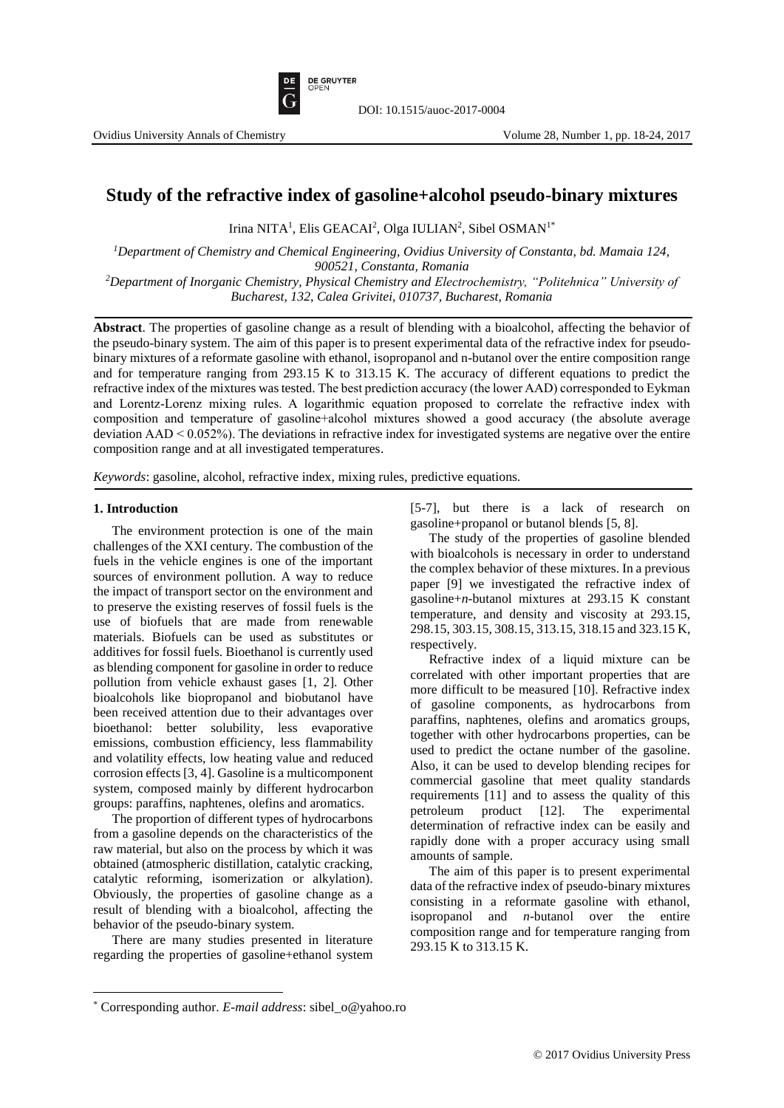

# **Study of the refractive index of gasoline+alcohol pseudo-binary mixtures**

Irina NITA<sup>1</sup>, Elis GEACAI<sup>2</sup>, Olga IULIAN<sup>2</sup>, Sibel OSMAN<sup>1\*</sup>

*<sup>1</sup>Department of Chemistry and Chemical Engineering, Ovidius University of Constanta, bd. Mamaia 124, 900521, Constanta, Romania*

*<sup>2</sup>Department of Inorganic Chemistry, Physical Chemistry and Electrochemistry, "Politehnica" University of Bucharest, 132, Calea Grivitei, 010737, Bucharest, Romania*

**Abstract**. The properties of gasoline change as a result of blending with a bioalcohol, affecting the behavior of the pseudo-binary system. The aim of this paper is to present experimental data of the refractive index for pseudobinary mixtures of a reformate gasoline with ethanol, isopropanol and n-butanol over the entire composition range and for temperature ranging from 293.15 K to 313.15 K. The accuracy of different equations to predict the refractive index of the mixtures was tested. The best prediction accuracy (the lower AAD) corresponded to Eykman and Lorentz-Lorenz mixing rules. A logarithmic equation proposed to correlate the refractive index with composition and temperature of gasoline+alcohol mixtures showed a good accuracy (the absolute average deviation AAD < 0.052%). The deviations in refractive index for investigated systems are negative over the entire composition range and at all investigated temperatures.

*Keywords*: gasoline, alcohol, refractive index, mixing rules, predictive equations.

## **1. Introduction**

 $\overline{\phantom{a}}$ 

The environment protection is one of the main challenges of the XXI century. The combustion of the fuels in the vehicle engines is one of the important sources of environment pollution. A way to reduce the impact of transport sector on the environment and to preserve the existing reserves of fossil fuels is the use of biofuels that are made from renewable materials. Biofuels can be used as substitutes or additives for fossil fuels. Bioethanol is currently used as blending component for gasoline in order to reduce pollution from vehicle exhaust gases [1, 2]. Other bioalcohols like biopropanol and biobutanol have been received attention due to their advantages over bioethanol: better solubility, less evaporative emissions, combustion efficiency, less flammability and volatility effects, low heating value and reduced corrosion effects [3, 4]. Gasoline is a multicomponent system, composed mainly by different hydrocarbon groups: paraffins, naphtenes, olefins and aromatics.

The proportion of different types of hydrocarbons from a gasoline depends on the characteristics of the raw material, but also on the process by which it was obtained (atmospheric distillation, catalytic cracking, catalytic reforming, isomerization or alkylation). Obviously, the properties of gasoline change as a result of blending with a bioalcohol, affecting the behavior of the pseudo-binary system.

There are many studies presented in literature regarding the properties of gasoline+ethanol system [5-7], but there is a lack of research on gasoline+propanol or butanol blends [5, 8].

The study of the properties of gasoline blended with bioalcohols is necessary in order to understand the complex behavior of these mixtures. In a previous paper [9] we investigated the refractive index of gasoline+*n*-butanol mixtures at 293.15 K constant temperature, and density and viscosity at 293.15, 298.15, 303.15, 308.15, 313.15, 318.15 and 323.15 K, respectively.

Refractive index of a liquid mixture can be correlated with other important properties that are more difficult to be measured [10]. Refractive index of gasoline components, as hydrocarbons from paraffins, naphtenes, olefins and aromatics groups, together with other hydrocarbons properties, can be used to predict the octane number of the gasoline. Also, it can be used to develop blending recipes for commercial gasoline that meet quality standards requirements [11] and to assess the quality of this petroleum product [12]. The experimental determination of refractive index can be easily and rapidly done with a proper accuracy using small amounts of sample.

The aim of this paper is to present experimental data of the refractive index of pseudo-binary mixtures consisting in a reformate gasoline with ethanol, isopropanol and *n*-butanol over the entire composition range and for temperature ranging from 293.15 K to 313.15 K.

<sup>\*</sup> Corresponding author. *E-mail address*: sibel\_o@yahoo.ro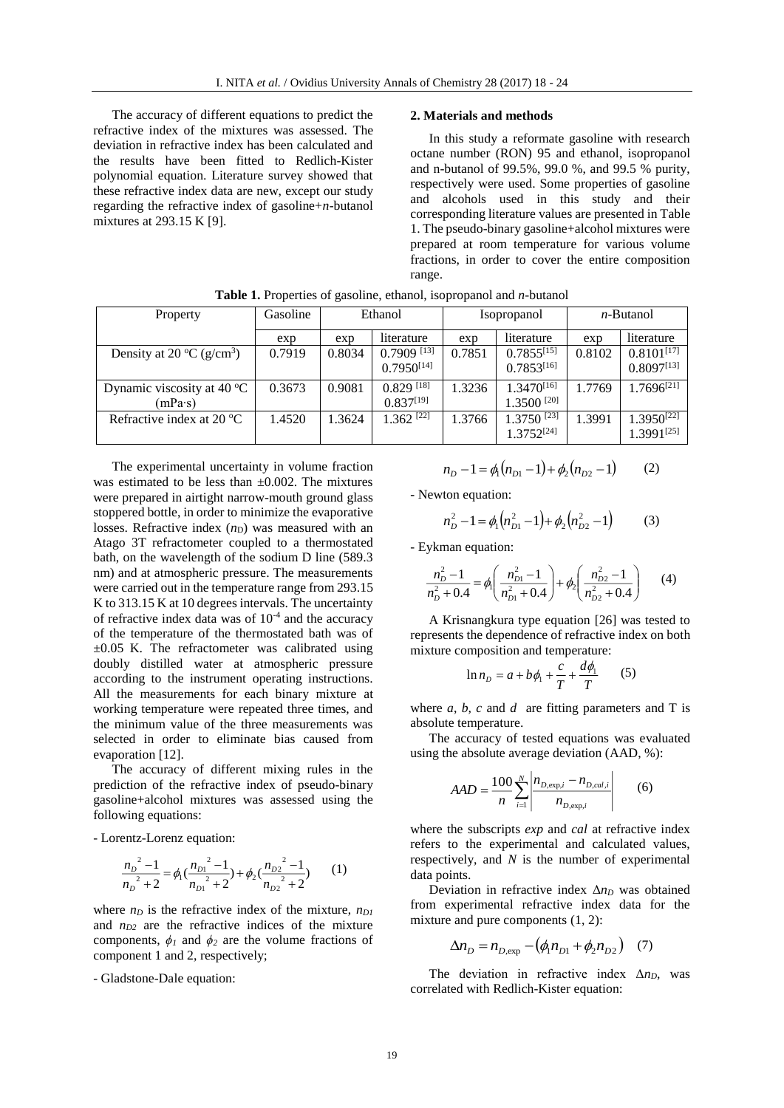The accuracy of different equations to predict the refractive index of the mixtures was assessed. The deviation in refractive index has been calculated and the results have been fitted to Redlich-Kister polynomial equation. Literature survey showed that these refractive index data are new, except our study regarding the refractive index of gasoline+*n*-butanol mixtures at 293.15 K [9].

#### **2. Materials and methods**

In this study a reformate gasoline with research octane number (RON) 95 and ethanol, isopropanol and n-butanol of 99.5%, 99.0 %, and 99.5 % purity, respectively were used. Some properties of gasoline and alcohols used in this study and their corresponding literature values are presented in Table 1. The pseudo-binary gasoline+alcohol mixtures were prepared at room temperature for various volume fractions, in order to cover the entire composition range.

| Property                                            | Gasoline | Ethanol |                          | <i>Isopropanol</i> |                          | $n$ -Butanol |                        |
|-----------------------------------------------------|----------|---------|--------------------------|--------------------|--------------------------|--------------|------------------------|
|                                                     | exp      | exp     | literature               | exp                | literature               | exp          | literature             |
| Density at 20 $\rm{^{\circ}C}$ (g/cm <sup>3</sup> ) | 0.7919   | 0.8034  | $0.7909$ <sup>[13]</sup> | 0.7851             | $0.7855^{[15]}$          | 0.8102       | $0.8101^{[17]}$        |
|                                                     |          |         | $0.7950^{[14]}$          |                    | $0.7853^{[16]}$          |              | $0.8097^{[13]}$        |
| Dynamic viscosity at 40 $^{\circ}$ C                | 0.3673   | 0.9081  | $0.829$ <sup>[18]</sup>  | 1.3236             | $1.3470^{[16]}$          | 1.7769       | $1.7696^{[21]}$        |
| (mPa·s)                                             |          |         | $0.837^{[19]}$           |                    | $1.3500$ <sup>[20]</sup> |              |                        |
| Refractive index at 20 $^{\circ}$ C                 | 1.4520   | 1.3624  | $1.362$ <sup>[22]</sup>  | 1.3766             | $1.3750$ <sup>[23]</sup> | 1.3991       | 1.3950[22]             |
|                                                     |          |         |                          |                    | $1.3752^{[24]}$          |              | 1.3991 <sup>[25]</sup> |

**Table 1.** Properties of gasoline, ethanol, isopropanol and *n*-butanol

The experimental uncertainty in volume fraction was estimated to be less than  $\pm 0.002$ . The mixtures were prepared in airtight narrow-mouth ground glass stoppered bottle, in order to minimize the evaporative losses. Refractive index  $(n_D)$  was measured with an Atago 3T refractometer coupled to a thermostated bath, on the wavelength of the sodium D line (589.3 nm) and at atmospheric pressure. The measurements were carried out in the temperature range from 293.15 K to 313.15 K at 10 degrees intervals. The uncertainty of refractive index data was of  $10^{-4}$  and the accuracy of the temperature of the thermostated bath was of ±0.05 K. The refractometer was calibrated using doubly distilled water at atmospheric pressure according to the instrument operating instructions. All the measurements for each binary mixture at working temperature were repeated three times, and the minimum value of the three measurements was selected in order to eliminate bias caused from evaporation [12].

The accuracy of different mixing rules in the prediction of the refractive index of pseudo-binary gasoline+alcohol mixtures was assessed using the following equations:

- Lorentz-Lorenz equation:

$$
\frac{n_{D}^{2}-1}{n_{D}^{2}+2} = \phi_{1} \left( \frac{n_{D1}^{2}-1}{n_{D1}^{2}+2} \right) + \phi_{2} \left( \frac{n_{D2}^{2}-1}{n_{D2}^{2}+2} \right)
$$
 (1)

where  $n_D$  is the refractive index of the mixture,  $n_{DI}$ and *nD2* are the refractive indices of the mixture components,  $\phi$ <sup>*I*</sup> and  $\phi$ <sup>2</sup> are the volume fractions of component 1 and 2, respectively;

- Gladstone-Dale equation:

$$
n_D - 1 = \phi_1(n_{D1} - 1) + \phi_2(n_{D2} - 1) \tag{2}
$$

- Newton equation:

$$
n_D^2 - 1 = \phi_1 \left( n_{D1}^2 - 1 \right) + \phi_2 \left( n_{D2}^2 - 1 \right) \tag{3}
$$

- Eykman equation:

$$
\frac{n_D^2 - 1}{n_D^2 + 0.4} = \phi_1 \left( \frac{n_{D1}^2 - 1}{n_{D1}^2 + 0.4} \right) + \phi_2 \left( \frac{n_{D2}^2 - 1}{n_{D2}^2 + 0.4} \right) \tag{4}
$$

A Krisnangkura type equation [26] was tested to represents the dependence of refractive index on both mixture composition and temperature:

$$
\ln n_D = a + b\phi_1 + \frac{c}{T} + \frac{d\phi_1}{T} \qquad (5)
$$

where  $a, b, c$  and  $d$  are fitting parameters and T is absolute temperature.

The accuracy of tested equations was evaluated using the absolute average deviation (AAD, %):

 $\mathbf{q}$ 

$$
AAD = \frac{100}{n} \sum_{i=1}^{N} \left| \frac{n_{D, \exp,i} - n_{D, cal,i}}{n_{D, \exp,i}} \right| \qquad (6)
$$

 $\sim 10^{-1}$ 

where the subscripts *exp* and *cal* at refractive index refers to the experimental and calculated values, respectively, and *N* is the number of experimental data points.

Deviation in refractive index  $\Delta n_D$  was obtained from experimental refractive index data for the mixture and pure components (1, 2):

$$
\Delta n_D = n_{D, \exp} - (\phi_1 n_{D1} + \phi_2 n_{D2}) \quad (7)
$$

The deviation in refractive index Δ*nD*, was correlated with Redlich-Kister equation: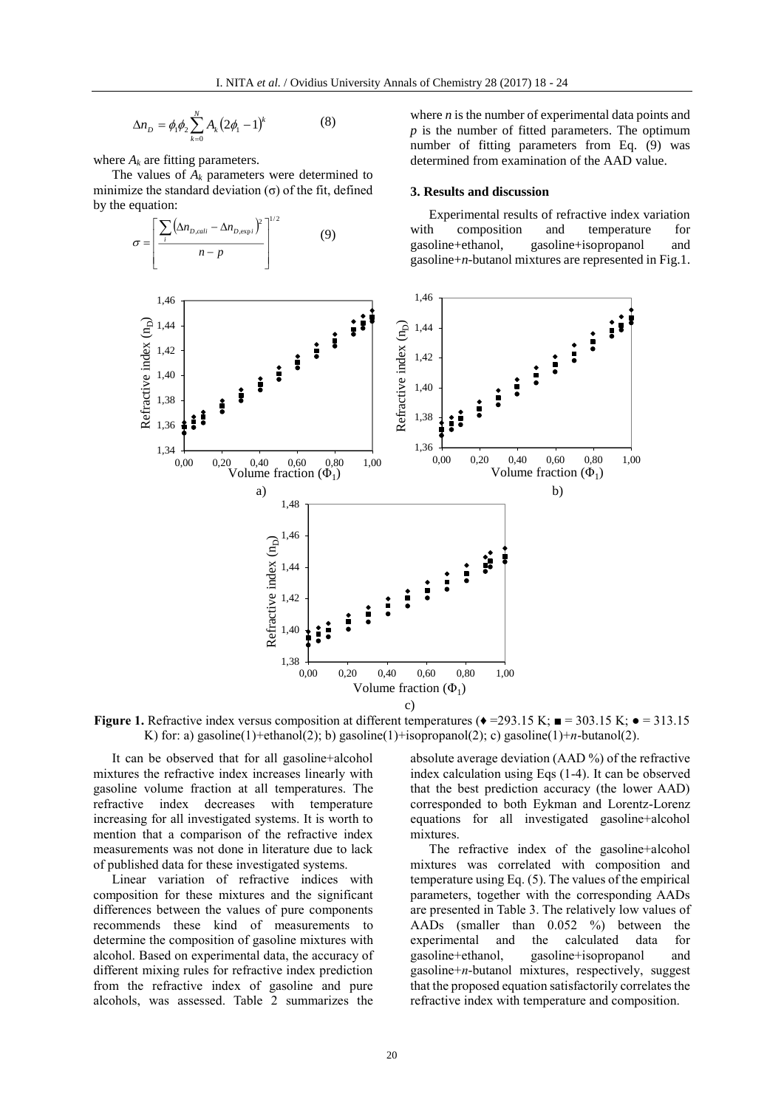$$
\Delta n_D = \phi_1 \phi_2 \sum_{k=0}^{N} A_k (2\phi_1 - 1)^k
$$
 (8)

where  $A_k$  are fitting parameters.

The values of  $A_k$  parameters were determined to minimize the standard deviation  $(\sigma)$  of the fit, defined by the equation:



**Figure 1.** Refractive index versus composition at different temperatures ( $\bullet$  =293.15 K;  $\bullet$  = 303.15 K;  $\bullet$  = 313.15 K) for: a) gasoline(1)+ethanol(2); b) gasoline(1)+isopropanol(2); c) gasoline(1)+*n*-butanol(2).

It can be observed that for all gasoline+alcohol mixtures the refractive index increases linearly with gasoline volume fraction at all temperatures. The refractive index decreases with temperature increasing for all investigated systems. It is worth to mention that a comparison of the refractive index measurements was not done in literature due to lack of published data for these investigated systems.

Linear variation of refractive indices with composition for these mixtures and the significant differences between the values of pure components recommends these kind of measurements to determine the composition of gasoline mixtures with alcohol. Based on experimental data, the accuracy of different mixing rules for refractive index prediction from the refractive index of gasoline and pure alcohols, was assessed. Table 2 summarizes the

absolute average deviation (AAD %) of the refractive index calculation using Eqs (1-4). It can be observed that the best prediction accuracy (the lower AAD) corresponded to both Eykman and Lorentz-Lorenz equations for all investigated gasoline+alcohol mixtures.

The refractive index of the gasoline+alcohol mixtures was correlated with composition and temperature using Eq. (5). The values of the empirical parameters, together with the corresponding AADs are presented in Table 3. The relatively low values of AADs (smaller than 0.052 %) between the experimental and the calculated data for gasoline+ethanol, gasoline+isopropanol and gasoline+*n*-butanol mixtures, respectively, suggest that the proposed equation satisfactorily correlates the refractive index with temperature and composition.

where *n* is the number of experimental data points and *p* is the number of fitted parameters. The optimum number of fitting parameters from Eq. (9) was determined from examination of the AAD value.

#### **3. Results and discussion**

Experimental results of refractive index variation with composition and temperature for gasoline+ethanol, gasoline+isopropanol and gasoline+*n*-butanol mixtures are represented in Fig.1.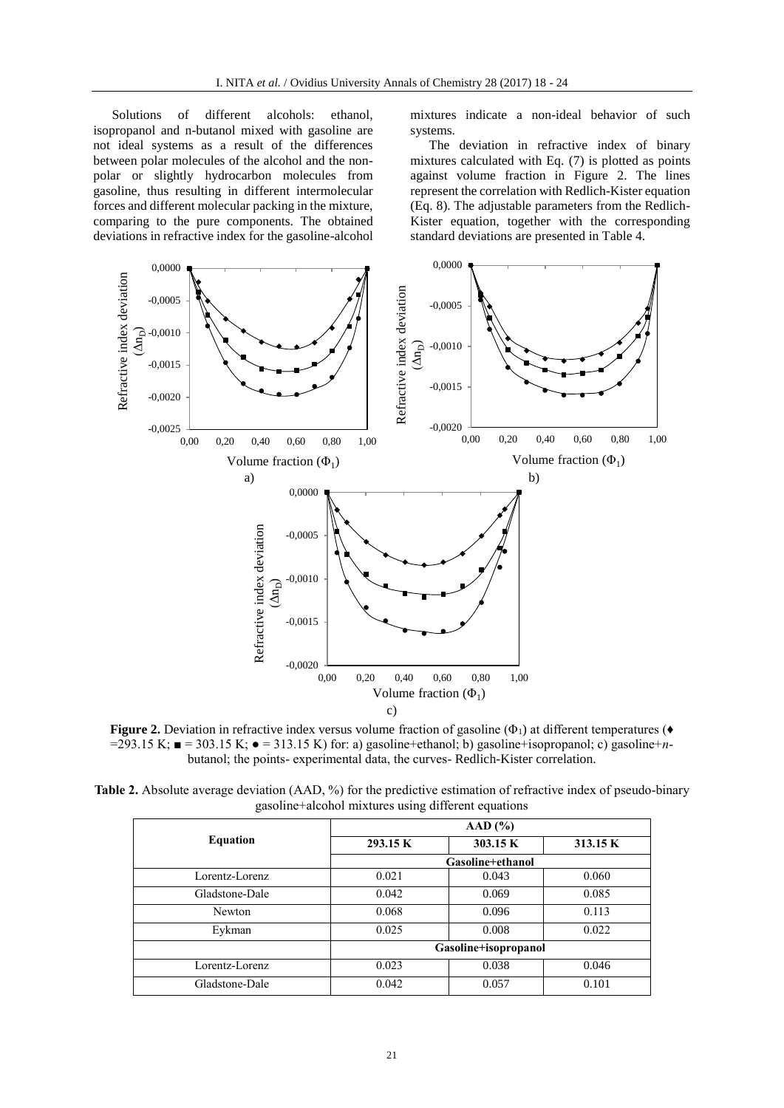Solutions of different alcohols: ethanol, isopropanol and n-butanol mixed with gasoline are not ideal systems as a result of the differences between polar molecules of the alcohol and the nonpolar or slightly hydrocarbon molecules from gasoline, thus resulting in different intermolecular forces and different molecular packing in the mixture, comparing to the pure components. The obtained deviations in refractive index for the gasoline-alcohol

mixtures indicate a non-ideal behavior of such systems.

The deviation in refractive index of binary mixtures calculated with Eq. (7) is plotted as points against volume fraction in Figure 2. The lines represent the correlation with Redlich-Kister equation (Eq. 8). The adjustable parameters from the Redlich-Kister equation, together with the corresponding standard deviations are presented in Table 4.



**Figure 2.** Deviation in refractive index versus volume fraction of gasoline  $(\Phi_1)$  at different temperatures ( $\bullet$ =293.15 K; ■ = 303.15 K; ● = 313.15 K) for: a) gasoline+ethanol; b) gasoline+isopropanol; c) gasoline+*n*butanol; the points- experimental data, the curves- Redlich-Kister correlation.

**Table 2.** Absolute average deviation (AAD, %) for the predictive estimation of refractive index of pseudo-binary gasoline+alcohol mixtures using different equations

|                 | AAD (%)              |       |          |  |  |
|-----------------|----------------------|-------|----------|--|--|
| <b>Equation</b> | 303.15 K<br>293.15 K |       | 313.15 K |  |  |
|                 | Gasoline+ethanol     |       |          |  |  |
| Lorentz-Lorenz  | 0.021                | 0.043 | 0.060    |  |  |
| Gladstone-Dale  | 0.042                | 0.069 | 0.085    |  |  |
| Newton          | 0.068                | 0.096 | 0.113    |  |  |
| Eykman          | 0.025                | 0.008 | 0.022    |  |  |
|                 | Gasoline+isopropanol |       |          |  |  |
| Lorentz-Lorenz  | 0.023                | 0.038 | 0.046    |  |  |
| Gladstone-Dale  | 0.042                | 0.057 | 0.101    |  |  |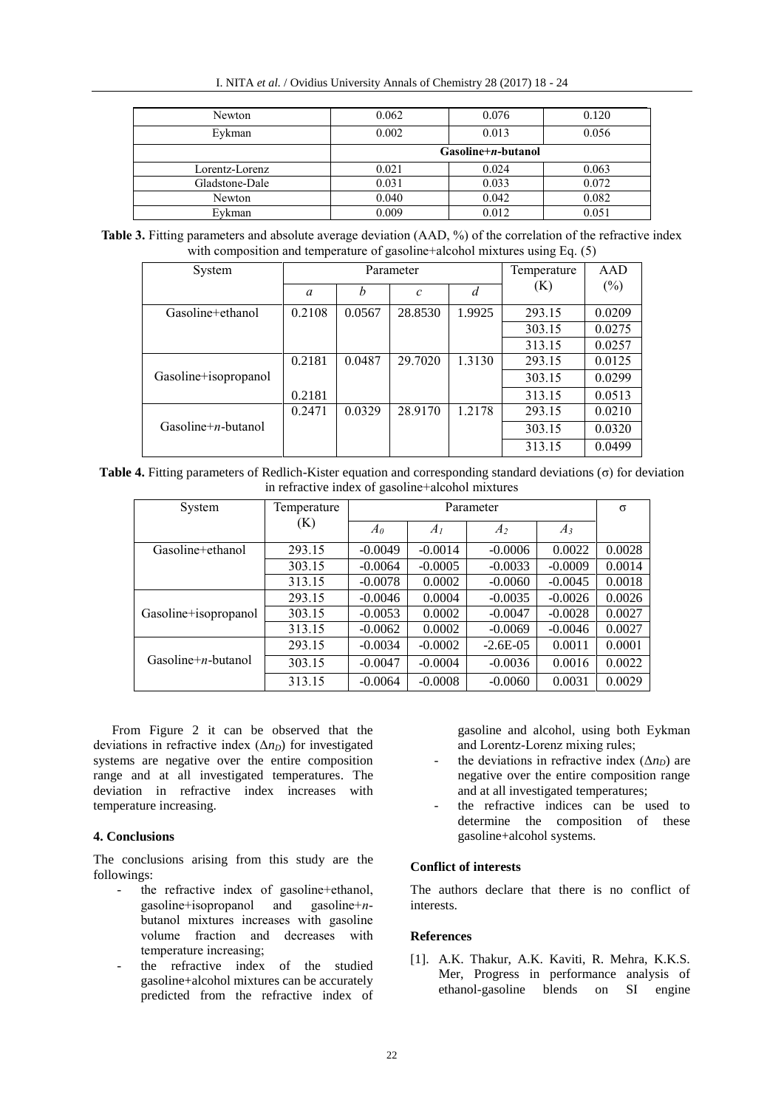| Newton         | 0.062                | 0.076 | 0.120 |  |  |
|----------------|----------------------|-------|-------|--|--|
| Eykman         | 0.002                | 0.013 | 0.056 |  |  |
|                | $Gasoline+n-butanol$ |       |       |  |  |
| Lorentz-Lorenz | 0.021                | 0.024 | 0.063 |  |  |
| Gladstone-Dale | 0.031                | 0.033 | 0.072 |  |  |
| Newton         | 0.040                | 0.042 | 0.082 |  |  |
| Eykman         | 0.009                | 0.012 | 0.051 |  |  |

**Table 3.** Fitting parameters and absolute average deviation (AAD, %) of the correlation of the refractive index with composition and temperature of gasoline+alcohol mixtures using Eq. (5)

| System               | Parameter |        |                   |        | Temperature | AAD    |
|----------------------|-----------|--------|-------------------|--------|-------------|--------|
|                      | a         | h      | $\mathcal{C}_{0}$ | d      | (K)         | $(\%)$ |
| Gasoline+ethanol     | 0.2108    | 0.0567 | 28.8530           | 1.9925 | 293.15      | 0.0209 |
|                      |           |        |                   |        | 303.15      | 0.0275 |
|                      |           |        |                   |        | 313.15      | 0.0257 |
|                      | 0.2181    | 0.0487 | 29.7020           | 1.3130 | 293.15      | 0.0125 |
| Gasoline+isopropanol |           |        |                   |        | 303.15      | 0.0299 |
|                      | 0.2181    |        |                   |        | 313.15      | 0.0513 |
|                      | 0.2471    | 0.0329 | 28.9170           | 1.2178 | 293.15      | 0.0210 |
| $Gasoline+n-butanol$ |           |        |                   |        | 303.15      | 0.0320 |
|                      |           |        |                   |        | 313.15      | 0.0499 |

**Table 4.** Fitting parameters of Redlich-Kister equation and corresponding standard deviations (σ) for deviation in refractive index of gasoline+alcohol mixtures

| System               | Temperature | Parameter    |           |                |           | $\sigma$ |
|----------------------|-------------|--------------|-----------|----------------|-----------|----------|
|                      | (K)         | $A_{\theta}$ | $A_I$     | A <sub>2</sub> | $A_3$     |          |
| Gasoline+ethanol     | 293.15      | $-0.0049$    | $-0.0014$ | $-0.0006$      | 0.0022    | 0.0028   |
|                      | 303.15      | $-0.0064$    | $-0.0005$ | $-0.0033$      | $-0.0009$ | 0.0014   |
|                      | 313.15      | $-0.0078$    | 0.0002    | $-0.0060$      | $-0.0045$ | 0.0018   |
|                      | 293.15      | $-0.0046$    | 0.0004    | $-0.0035$      | $-0.0026$ | 0.0026   |
| Gasoline+isopropanol | 303.15      | $-0.0053$    | 0.0002    | $-0.0047$      | $-0.0028$ | 0.0027   |
|                      | 313.15      | $-0.0062$    | 0.0002    | $-0.0069$      | $-0.0046$ | 0.0027   |
| $Gasoline+n-butanol$ | 293.15      | $-0.0034$    | $-0.0002$ | $-2.6E-0.5$    | 0.0011    | 0.0001   |
|                      | 303.15      | $-0.0047$    | $-0.0004$ | $-0.0036$      | 0.0016    | 0.0022   |
|                      | 313.15      | $-0.0064$    | $-0.0008$ | $-0.0060$      | 0.0031    | 0.0029   |

From Figure 2 it can be observed that the deviations in refractive index  $(\Delta n_D)$  for investigated systems are negative over the entire composition range and at all investigated temperatures. The deviation in refractive index increases with temperature increasing.

## **4. Conclusions**

The conclusions arising from this study are the followings:

- the refractive index of gasoline+ethanol, gasoline+isopropanol and gasoline+*n*butanol mixtures increases with gasoline volume fraction and decreases with temperature increasing;
- the refractive index of the studied gasoline+alcohol mixtures can be accurately predicted from the refractive index of

gasoline and alcohol, using both Eykman and Lorentz-Lorenz mixing rules;

- the deviations in refractive index  $(\Delta n_D)$  are negative over the entire composition range and at all investigated temperatures;
- the refractive indices can be used to determine the composition of these gasoline+alcohol systems.

# **Conflict of interests**

The authors declare that there is no conflict of interests.

# **References**

[1]. A.K. Thakur, A.K. Kaviti, R. Mehra, K.K.S. Mer, [Progress in performance analysis of](http://www.sciencedirect.com/science/article/pii/S1364032116307754)  [ethanol-gasoline blends on](http://www.sciencedirect.com/science/article/pii/S1364032116307754) SI engine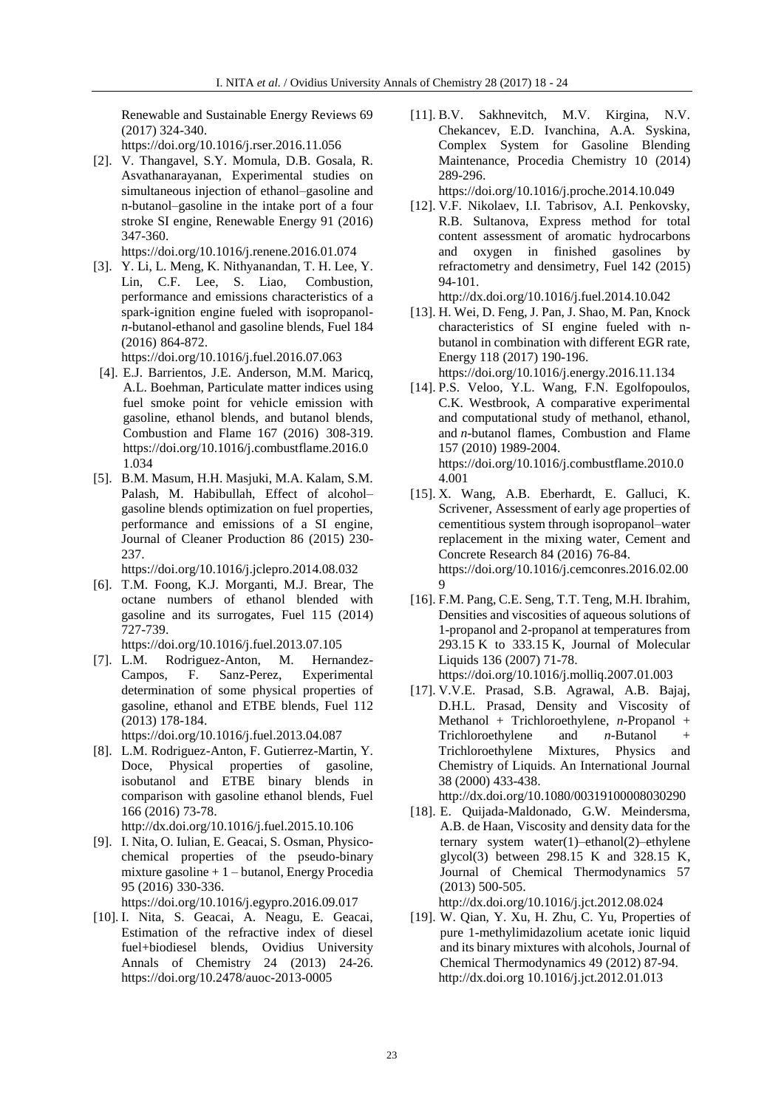Renewable and Sustainable Energy Reviews 69 (2017) 324-340.

https://doi.org/10.1016/j.rser.2016.11.056

[2]. V. Thangavel, S.Y. Momula, D.B. Gosala, R. Asvathanarayanan, Experimental studies on simultaneous injection of ethanol–gasoline and n-butanol–gasoline in the intake port of a four stroke SI engine, Renewable Energy 91 (2016) 347-360.

https://doi.org/10.1016/j.renene.2016.01.074

[3]. Y. Li, L. Meng, K. Nithyanandan, T. H. Lee, Y. Lin, C.F. Lee, S. Liao, Combustion, performance and emissions characteristics of a spark-ignition engine fueled with isopropanol*n*-butanol-ethanol and gasoline blends, Fuel 184 (2016) 864-872.

https://doi.org/10.1016/j.fuel.2016.07.063

- [4]. E.J. Barrientos, J.E. Anderson, M.M. Maricq, A.L. Boehman, Particulate matter indices using fuel smoke point for vehicle emission with gasoline, ethanol blends, and butanol blends, Combustion and Flame 167 (2016) 308-319. https://doi.org/10.1016/j.combustflame.2016.0 1.034
- [5]. B.M. Masum, H.H. Masjuki, M.A. Kalam, S.M. Palash, M. Habibullah, Effect of alcohol– gasoline blends optimization on fuel properties, performance and emissions of a SI engine, Journal of Cleaner Production 86 (2015) 230- 237.

https://doi.org/10.1016/j.jclepro.2014.08.032

[6]. T.M. Foong, K.J. Morganti, M.J. Brear, The octane numbers of ethanol blended with gasoline and its surrogates, Fuel 115 (2014) 727-739.

https://doi.org/10.1016/j.fuel.2013.07.105

[7]. L.M. Rodriguez-Anton, M. Hernandez-Campos, F. Sanz-Perez, Experimental determination of some physical properties of gasoline, ethanol and ETBE blends, Fuel 112 (2013) 178-184.

https://doi.org/10.1016/j.fuel.2013.04.087

[8]. L.M. Rodriguez-Anton, F. Gutierrez-Martin, Y. Doce, Physical properties of gasoline, isobutanol and ETBE binary blends in comparison with gasoline ethanol blends, Fuel 166 (2016) 73-78.

http://dx.doi.org/10.1016/j.fuel.2015.10.106

[9]. I. Nita, O. Iulian, E. Geacai, S. Osman, Physicochemical properties of the pseudo-binary mixture gasoline + 1 – butanol, Energy Procedia 95 (2016) 330-336.

<https://doi.org/10.1016/j.egypro.2016.09.017>

[10]. I. Nita, S. Geacai, A. Neagu, E. Geacai, Estimation of the refractive index of diesel fuel+biodiesel blends, Ovidius University Annals of Chemistry 24 (2013) 24-26. https://doi.org/10.2478/auoc-2013-0005

[11]. B.V. Sakhnevitch, M.V. Kirgina, N.V. Chekancev, E.D. Ivanchina, A.A. Syskina, Complex System for Gasoline Blending Maintenance, Procedia Chemistry 10 (2014) 289-296.

https://doi.org/10.1016/j.proche.2014.10.049

[12]. V.F. Nikolaev, I.I. Tabrisov, A.I. Penkovsky, R.B. Sultanova, Express method for total content assessment of aromatic hydrocarbons and oxygen in finished gasolines by refractometry and densimetry, Fuel 142 (2015) 94-101.

http://dx.doi.org/10.1016/j.fuel.2014.10.042

- [13]. H. Wei, D. Feng, J. Pan, J. Shao, M. Pan, Knock characteristics of SI engine fueled with nbutanol in combination with different EGR rate, Energy 118 (2017) 190-196. https://doi.org/10.1016/j.energy.2016.11.134
- [14]. P.S. Veloo, Y.L. Wang, F.N. Egolfopoulos, C.K. Westbrook, A comparative experimental and computational study of methanol, ethanol, and *n*-butanol flames, Combustion and Flame 157 (2010) 1989-2004. https://doi.org/10.1016/j.combustflame.2010.0 4.001
- [15]. X. Wang, A.B. Eberhardt, E. Galluci, K. Scrivener, Assessment of early age properties of cementitious system through isopropanol–water replacement in the mixing water, Cement and Concrete Research 84 (2016) 76-84. [https://doi.org/10.1016/j.cemconres.2016.02.00](https://doi.org/10.1016/j.cemconres.2016.02.009) [9](https://doi.org/10.1016/j.cemconres.2016.02.009)
- [16]. F.M. Pang, C.E. Seng, T.T. Teng, M.H. Ibrahim, Densities and viscosities of aqueous solutions of 1-propanol and 2-propanol at temperatures from 293.15 K to 333.15 K, Journal of Molecular Liquids 136 (2007) 71-78. https://doi.org/10.1016/j.molliq.2007.01.003
- [17]. V.V.E. Prasad, S.B. Agrawal, A.B. Bajaj, D.H.L. Prasad, [Density and Viscosity of](http://www.tandfonline.com/doi/abs/10.1080/00319100008030290)  [Methanol + Trichloroethylene,](http://www.tandfonline.com/doi/abs/10.1080/00319100008030290) *n*-Propanol + [Trichloroethylene and](http://www.tandfonline.com/doi/abs/10.1080/00319100008030290) *n*-Butanol + [Trichloroethylene Mixtures,](http://www.tandfonline.com/doi/abs/10.1080/00319100008030290) Physics and Chemistry of Liquids. An International Journal 38 (2000) 433-438.

http://dx.doi.org/10.1080/00319100008030290

[18]. E. Quijada-Maldonado, G.W. Meindersma, A.B. de Haan[, Viscosity and density data for the](http://www.sciencedirect.com/science/article/pii/S0021961412003382)  [ternary system water\(1\)–ethanol\(2\)–ethylene](http://www.sciencedirect.com/science/article/pii/S0021961412003382)  [glycol\(3\) between 298.15 K and 328.15 K,](http://www.sciencedirect.com/science/article/pii/S0021961412003382) Journal of Chemical Thermodynamics 57 (2013) 500-505.

http://dx.doi.org/10.1016/j.jct.2012.08.024

[19]. W. Qian, Y. Xu, H. Zhu, C. Yu, [Properties of](http://www.sciencedirect.com/science/article/pii/S0021961412000201)  [pure 1-methylimidazolium acetate ionic liquid](http://www.sciencedirect.com/science/article/pii/S0021961412000201)  [and its binary mixtures with alcohols,](http://www.sciencedirect.com/science/article/pii/S0021961412000201) Journal of Chemical Thermodynamics 49 (2012) 87-94. http://dx.doi.org 10.1016/j.jct.2012.01.013